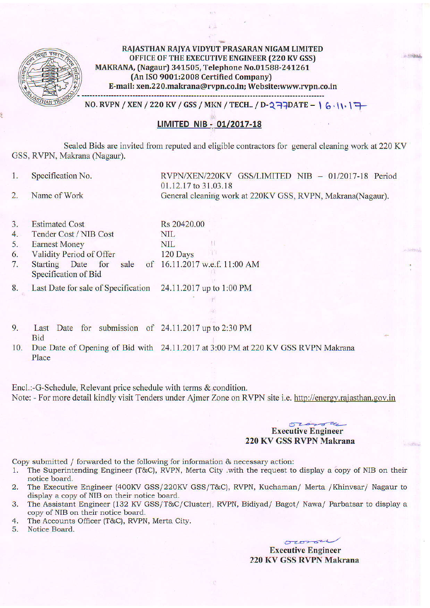

RAJASTHAN RAIYA VIDYUT PRASARAN NIGAM LIMITED OFFICE OF THE EXECUTIVE ENGINEER (220 KV GSS) MAKRANA, (Nagaur) 341505, Telephone No.01588-241261 {An ISO 9001:2008 Certified Company) E-mail: xen.220.makrana@rvpn.co.in; Website:www.rvpn.co.in 

 $NO.$  RVPN / XEN / 220 KV / GSS / MKN / TECH.. / D-2  $\rightarrow$   $\rightarrow$   $\rightarrow$   $\rightarrow$   $\rightarrow$   $\rightarrow$   $\rightarrow$ 

# LIMITED NIB - 01/2017-18

Sealed Bids are invited from reputed and eligible contractors for general cleaning work at 220 KV GSS, RVPN, Makrana (Nagaur).

1. Specification No.

RVPN/XEN/220KV GSS/LIMITED NIB - 01/2017-18 Period 01.12.17 to 31.03.18 General cleaning work at 220KV GSS, RVPN, Makrana(Nagaur).

**Similares** 

SINGL

- 2. Name of Work
- 3 . Estimated Cost
- 4. Tender Cost / NIB Cost
- 5. Eamest Money
- 6. validity Period of Offer 120 Days
- 7. Starting Date for sale Specification of Bid of 16.11.2017 w.e.f. 11:00 AM
- 8. Last Date for sale of Specification 24.11.2017 up to 1:00 PM
- 9. Last Date for submission of  $24.11.2017$  up to  $2:30$  PM Bid
- 10. Due Date of Opening of Bid with 24.11.2017 at 3:00 PM at 220 KV GSS RVPN Makrana Place

Rs 20420.00

NIL NIL

Encl.:-G-Schedule, Relevant price schedule with terms & condition. Note: - For more detail kindly visit Tenders under Ajmer Zone on RVPN site i.e. http://energy.rajasthan.gov.in

#### $02222$ Executive Engineer 220 KV GSS RVPN Makrana

Copy submitted / forwarded to the following for information  $\&$  necessary action:<br>1. The Superintending Engineer (T&C), RVPN, Merta City .with the request to

- The Superintending Engineer (T&C), RVPN, Merta City .with the request to display a copy of NIB on their notice board,
- 2. The Executive Engineer (400KV GSS/220KV GSS/T&C), RVPN, Kuchaman/ Merta /Khinvsar/ Nagaur to display a copy of NIB on their notice board.
- 3. The Assistant Engineer (132 KV GSS/T&C/Cluster), RVPN, Bidiyad/ Bagot/ Nawa/ Parbatsar to display a copy of NIB on their notice board.
- 4. The Accounts Officer (T&C), RVPN, Merta City.
- 5. Notice Board.

owner Executive Engineer 220 KV GSS RVPN Makrana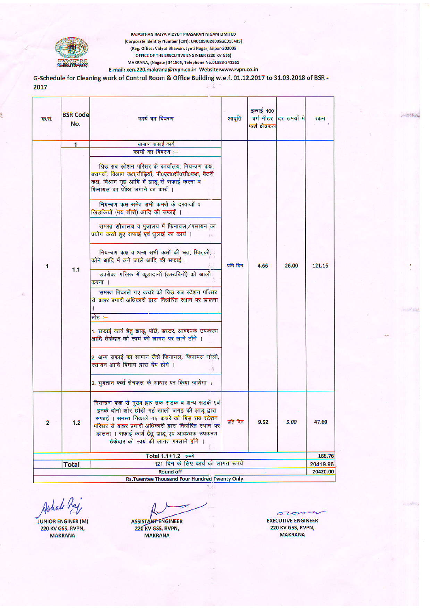

RAJASTHAN RAJYA VIDYUT PRASARAN NIGAM LIMITED [Corporate Identity Number (CIN): U40109RJ2000SGC016485] (Reg. Office: Vidyut Bhawan, Jyoti Nagar, Jaipur-302005 OFFICE OF THE EXECUTIVE ENGINEER (220 KV GSS) MAKRANA, (Nagaur) 341505, Telephone No.01588-241261 E-mail: xen.220.makrana@rvpn.co.in Website:www.rvpn.co.in

G-Schedule for Cleaning work of Control Room & Office Building w.e.f. 01.12.2017 to 31.03.2018 of BSR -2017 

| क.सं.                                              | <b>BSR Code</b><br>No. | कार्य का विवरण                                                                                                                                                                                                                                                                                                                                                                                                                                                                                                                                                                                                                                                                                                                                                                                                                                                                                                               | आवृति     | इकाई 100<br>फर्श क्षेत्रफल | वर्ग मीटर दिर रूपयों मे | रकम             |  |
|----------------------------------------------------|------------------------|------------------------------------------------------------------------------------------------------------------------------------------------------------------------------------------------------------------------------------------------------------------------------------------------------------------------------------------------------------------------------------------------------------------------------------------------------------------------------------------------------------------------------------------------------------------------------------------------------------------------------------------------------------------------------------------------------------------------------------------------------------------------------------------------------------------------------------------------------------------------------------------------------------------------------|-----------|----------------------------|-------------------------|-----------------|--|
|                                                    | $\mathbf{1}$           | सामान्य सफाई कार्य                                                                                                                                                                                                                                                                                                                                                                                                                                                                                                                                                                                                                                                                                                                                                                                                                                                                                                           |           |                            |                         |                 |  |
| 1                                                  |                        | कार्यों का विवरण :-                                                                                                                                                                                                                                                                                                                                                                                                                                                                                                                                                                                                                                                                                                                                                                                                                                                                                                          |           |                            |                         |                 |  |
|                                                    | 1.1                    | ग्रिड़ सब स्टेशन परिसर के कार्यालय, नियन्त्रण कक्ष,<br>बरामदों, विश्राम कक्ष,सीढ़ियॉं, पी0एल0सी0सी0कक्ष, बैटरी<br>कक्ष, विश्राम गृह आदि में झाडू से सफाई करना व<br>.<br>फिनायल का पोंछा लगाने का कार्य ।<br>नियन्त्रण कक्ष समेत सभी कमरों के दरवाजों व<br>खिड़कियों (मय शीशे) आदि की सफाई ।<br>समस्त शौचालय व मुत्रालय में फिनायल/रसायन का<br>प्रयोग करते हुए सफाई एवं धुलाई का कार्य ।<br>नियन्त्रण कक्ष व अन्य सभी कक्षों की छत, खिड़की,<br>कोने आदि में लगे जाले आदि की सफाई ।<br>उपरोक्त परिसर में कूड़ादानों (डस्टबिनों) को खाली<br>करना ।<br>समस्त निकाले गए कचरे को ग्रिड़ सब स्टेशन परिसर<br>से बाहर प्रभारी अधिकारी द्वारा निर्धारित स्थान पर डालना<br>नोट $=$<br>1. सफाई कार्य हेतु झाडू, पोंछे, डस्टर, आवश्यक उपकरण<br>आदि ठेकेदार को स्वयं की लागत पर लाने होंगे ।<br>2. अन्य सफाई का सामान जैसे फिनायल, फिनायल गोली,<br>रसायन आदि विभाग द्वारा देय होंगे ।<br>3. भुगतान फर्श क्षेत्रफल के आधार पर किया जायेगा । | प्रति दिन | 4.66                       | 26.00                   | 121.16          |  |
| $\overline{2}$                                     | 1.2                    | नियन्त्रण कक्ष से मुख्य द्वार तक सड़क व अन्य सड़कें एवं<br>इनके दोनों ओर छोड़ी गई खाली जगह की झाड़ू द्वारा<br>सफाई । समस्त निकाले गए कचरे को ग्रिड़ सब स्टेशन<br>परिसर से बाहर प्रभारी अधिकारी द्वारा निर्धारित स्थान पर<br>डालना । सफाई कार्य हेतु झाडू एवं आवश्यक उपकरण<br>ठेकेदार को स्वयं की लागत परलाने होंगे ।                                                                                                                                                                                                                                                                                                                                                                                                                                                                                                                                                                                                         | प्रति दिन | 9.52                       | 5.00                    | 47.60<br>168.76 |  |
| Total 1.1+1.2 रुपये                                |                        |                                                                                                                                                                                                                                                                                                                                                                                                                                                                                                                                                                                                                                                                                                                                                                                                                                                                                                                              |           |                            |                         |                 |  |
| 121 दिन के लिए कार्य की लागत रूपये<br><b>Total</b> |                        |                                                                                                                                                                                                                                                                                                                                                                                                                                                                                                                                                                                                                                                                                                                                                                                                                                                                                                                              |           |                            |                         |                 |  |
| <b>Round off</b>                                   |                        |                                                                                                                                                                                                                                                                                                                                                                                                                                                                                                                                                                                                                                                                                                                                                                                                                                                                                                                              |           |                            |                         |                 |  |
|                                                    |                        | <b>Rs.Twentee Thousand Four Hundred Twenty Only</b>                                                                                                                                                                                                                                                                                                                                                                                                                                                                                                                                                                                                                                                                                                                                                                                                                                                                          |           |                            |                         |                 |  |

Ashale Raj

**JUNIOR ENGINER (M)** 220 KV GSS, RVPN, **MAKRANA** 

**ASSISTANT ENGINEER** 220 KV GSS, RVPN, **MAKRANA** 

 $\sigma$ 2010-4 **EXECUTIVE ENGINEER** 220 KV GSS, RVPN, **MAKRANA** 

**ANTIQUES**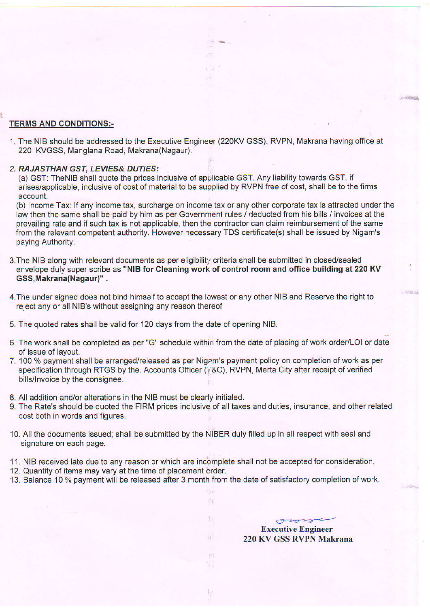### TERMS AND CONDITIONS:-

1. The NIB should be addressed to the Executive Engineer (220KV GSS), RVPN, Makrana having offlce at 220 KVGSS, Manglana Road, Makrana(Nagaur).

非市民

#### 2. RAJASTHAN GST, LEVIES& DUTIES:

(a) GST: TheNlB shall quote the prices inclusive of applicable GST. Any liability towards GST, if arises/applicable, inclusive of cost of material to be supplied by RVPN free of cost, shall be to the firms account.

(b) Income Tax: lf any income tax, surcharge on income tax or any other corporate tax is attracted under the law then the same shall be paid by him as per Government rules / deducted from his bills / invoices at the prevailing rate and if such tax is not applicable, then the contractor can claim reimbursement of the same from the relevant competent authority. However necessary TDS certificate(s) shall be issued by Nigam's paying Authority.

- 3. The NIB along with relevant documents as per eligibility criteria shall be submitted in closed/sealed envelope duly super scribe as "NIB for Cleaning work of control room and office building at 220 KV GSS,Makrana(Nagaur)" .
- 4. The under signed does not bind himself to accept the lowest or any other NIB and Reserve the right to reject any or all NIB's without assigning any reason thereof
- 5. The quoted rates shall be valid for 120 days from the date of opening NlB.
- 6. The work shall be completed as per "G" schedule within from the date of placing of work order/LOI or date of issue of layout.
- 7. 100 % payment shall be arranged/released as per Nigam's payment policy on completion of work as per specification through RTGS by the. Accounts Officer ( $\overline{I}$ &C), RVPN, Merta City after receipt of verified bills/lnvoice by the consignee.
- 8. All addition and/or alterations in the NIB must be clearly initialed.
- 9. The Rate's should be quoted the FIRM prices inclusive of all taxes and duties, insurance, and other related cost both in words and figures.
- 10. All the documents issued; shall be submitted by the NIBER duly filled up in all respect with seal and signature on each page.
- 11. NIB received late due to any reason or which are incomplete shall not be accepted for consideration, 12. Quantity of items may vary at the time of placement order.
- 
- 13. Balance 10 % payment will be released after 3 month from the date of satisfactory completion of work.

Ti

B

H)

 $\kappa$  .

U.

Executive Engineer 220 KV GSS RVPN Makrana

own

,r ... 200533511